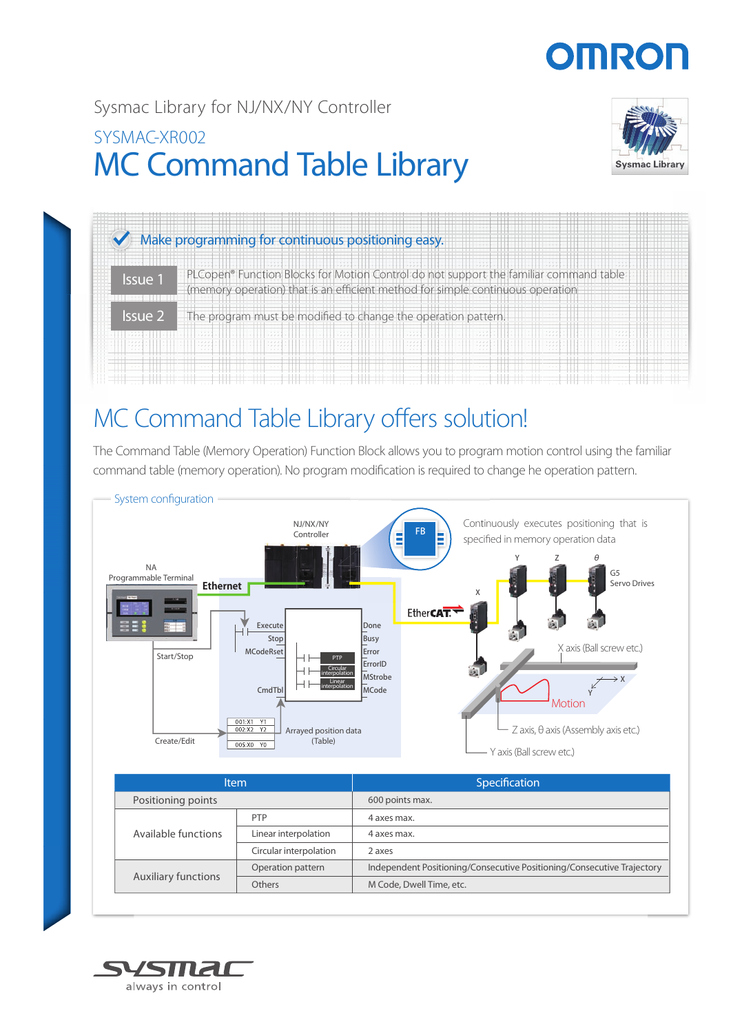# **OMRO**

# Sysmac Library for NJ/NX/NY Controller

# MC Command Table Library SYSMAC-XR002





# MC Command Table Library offers solution!

The Command Table (Memory Operation) Function Block allows you to program motion control using the familiar command table (memory operation). No program modification is required to change he operation pattern.